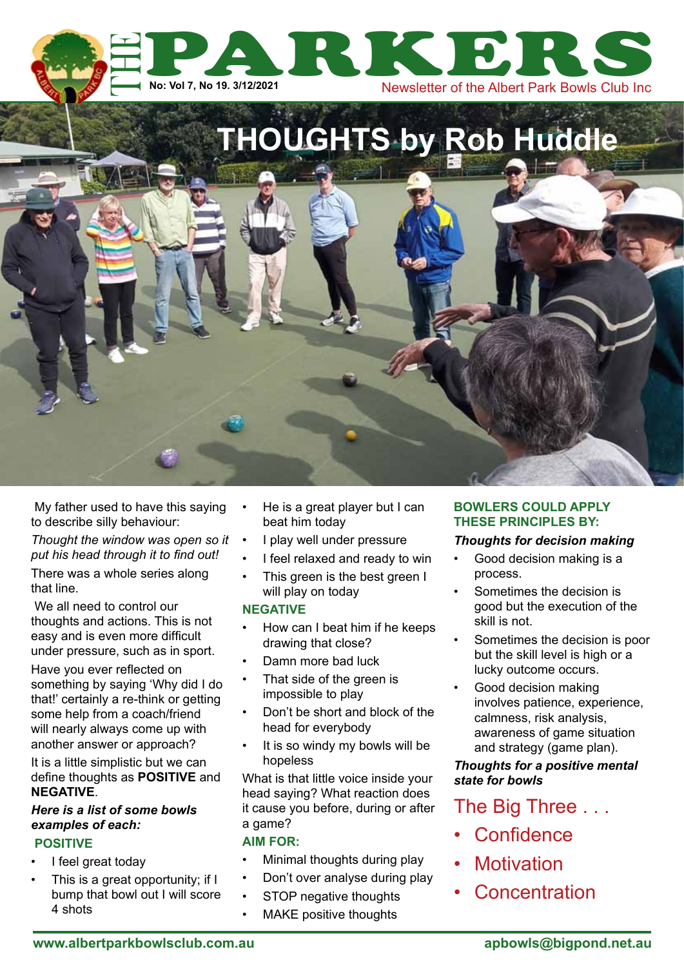

 My father used to have this saying to describe silly behaviour:

*Thought the window was open so it put his head through it to find out!*

There was a whole series along that line.

 We all need to control our thoughts and actions. This is not easy and is even more difficult under pressure, such as in sport.

Have you ever reflected on something by saying 'Why did I do that!' certainly a re-think or getting some help from a coach/friend will nearly always come up with another answer or approach?

### It is a little simplistic but we can define thoughts as **POSITIVE** and **NEGATIVE**.

# *Here is a list of some bowls examples of each:*

- **POSITIVE**
- I feel great today
- This is a great opportunity; if I bump that bowl out I will score 4 shots
- He is a great player but I can beat him today
- I play well under pressure
- I feel relaxed and ready to win
- This green is the best green I will play on today

# **NEGATIVE**

- How can I beat him if he keeps drawing that close?
- Damn more bad luck
- That side of the green is impossible to play
- Don't be short and block of the head for everybody
- It is so windy my bowls will be hopeless

What is that little voice inside your head saying? What reaction does it cause you before, during or after a game?

#### **Aim for:**

- Minimal thoughts during play
- Don't over analyse during play
- STOP negative thoughts
- MAKE positive thoughts

# **Bowlers could apply these principles by:**

# *Thoughts for decision making*

- Good decision making is a process.
- Sometimes the decision is good but the execution of the skill is not.
- Sometimes the decision is poor but the skill level is high or a lucky outcome occurs.
- Good decision making involves patience, experience, calmness, risk analysis, awareness of game situation and strategy (game plan).

# *Thoughts for a positive mental state for bowls*

# The Big Three . . .

- **Confidence**
- **Motivation**
- **Concentration**